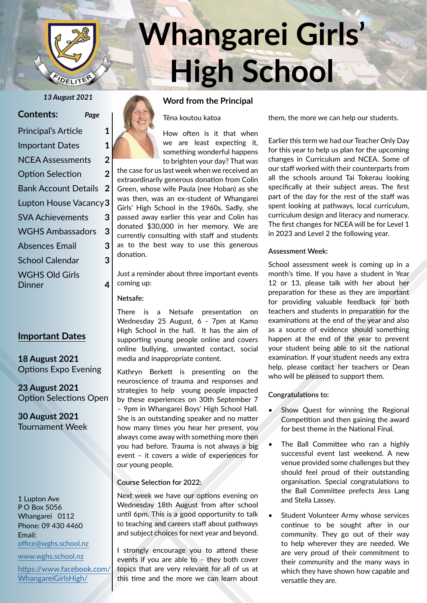

# **Whangarei Girls' High School**

**Page** 

|  |  |  |  |  | <b>Contents:</b> |  |
|--|--|--|--|--|------------------|--|
|--|--|--|--|--|------------------|--|

| <b>Principal's Article</b>      |   |  |
|---------------------------------|---|--|
| <b>Important Dates</b>          | 1 |  |
| <b>NCEA Assessments</b>         | 2 |  |
| <b>Option Selection</b>         | 2 |  |
| Bank Account Details            | 2 |  |
| Lupton House Vacancy 3          |   |  |
| <b>SVA Achievements</b>         | 3 |  |
| <b>WGHS Ambassadors</b>         | 3 |  |
| <b>Absences Email</b>           | 3 |  |
| <b>School Calendar</b>          | 3 |  |
| <b>WGHS Old Girls</b><br>Dinner |   |  |

#### **Important Dates**

**18 August 2021** Options Expo Evening

**23 August 2021** Option Selections Open

**30 August 2021** Tournament Week

1 Lupton Ave P O Box 5056 Whangarei 0112 Phone: 09 430 4460 Email: office@wghs.school.nz

www.wghs.school.nz

https://www.facebook.com/ WhangareiGirlsHigh/



*13 August 2021* **Word from the Principal**

Tēna koutou katoa

How often is it that when we are least expecting it, something wonderful happens to brighten your day? That was the case for us last week when we received an

extraordinarily generous donation from Colin Green, whose wife Paula (nee Hoban) as she was then, was an ex-student of Whangarei Girls' High School in the 1960s. Sadly, she passed away earlier this year and Colin has donated \$30,000 in her memory. We are currently consulting with staff and students as to the best way to use this generous donation.

Just a reminder about three important events coming up:

**Netsafe:**

There is a Netsafe presentation on Wednesday 25 August, 6 - 7pm at Kamo High School in the hall. It has the aim of supporting young people online and covers online bullying, unwanted contact, social media and inappropriate content.

Kathryn Berkett is presenting on the neuroscience of trauma and responses and strategies to help young people impacted by these experiences on 30th September 7 – 9pm in Whangarei Boys' High School Hall. She is an outstanding speaker and no matter how many times you hear her present, you always come away with something more then you had before. Trauma is not always a big event – it covers a wide of experiences for our young people.

#### **Course Selection for 2022:**

Next week we have our options evening on Wednesday 18th August from after school until 6pm. This is a good opportunity to talk to teaching and careers staff about pathways and subject choices for next year and beyond.

I strongly encourage you to attend these events if you are able to – they both cover topics that are very relevant for all of us at this time and the more we can learn about

them, the more we can help our students.

Earlier this term we had our Teacher Only Day for this year to help us plan for the upcoming changes in Curriculum and NCEA. Some of our staff worked with their counterparts from all the schools around Tai Tokerau looking specifically at their subject areas. The first part of the day for the rest of the staff was spent looking at pathways, local curriculum, curriculum design and literacy and numeracy. The first changes for NCEA will be for Level 1 in 2023 and Level 2 the following year.

#### **Assessment Week:**

School assessment week is coming up in a month's time. If you have a student in Year 12 or 13, please talk with her about her preparation for these as they are important for providing valuable feedback for both teachers and students in preparation for the examinations at the end of the year and also as a source of evidence should something happen at the end of the year to prevent your student being able to sit the national examination. If your student needs any extra help, please contact her teachers or Dean who will be pleased to support them.

#### **Congratulations to:**

- Show Quest for winning the Regional Competition and then gaining the award for best theme in the National Final.
- The Ball Committee who ran a highly successful event last weekend. A new venue provided some challenges but they should feel proud of their outstanding organisation. Special congratulations to the Ball Committee prefects Jess Lang and Stella Lassey.
- Student Volunteer Army whose services continue to be sought after in our community. They go out of their way to help wherever they are needed. We are very proud of their commitment to their community and the many ways in which they have shown how capable and versatile they are.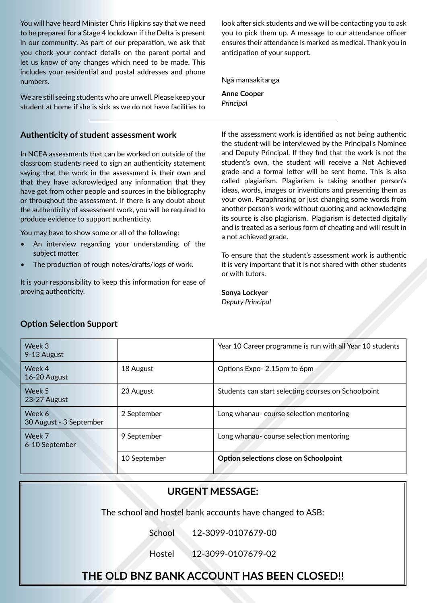You will have heard Minister Chris Hipkins say that we need to be prepared for a Stage 4 lockdown if the Delta is present in our community. As part of our preparation, we ask that you check your contact details on the parent portal and let us know of any changes which need to be made. This includes your residential and postal addresses and phone numbers.

We are still seeing students who are unwell. Please keep your student at home if she is sick as we do not have facilities to

#### **Authenticity of student assessment work**

In NCEA assessments that can be worked on outside of the classroom students need to sign an authenticity statement saying that the work in the assessment is their own and that they have acknowledged any information that they have got from other people and sources in the bibliography or throughout the assessment. If there is any doubt about the authenticity of assessment work, you will be required to produce evidence to support authenticity.

You may have to show some or all of the following:

- An interview regarding your understanding of the subject matter.
- The production of rough notes/drafts/logs of work.

It is your responsibility to keep this information for ease of proving authenticity.

look after sick students and we will be contacting you to ask you to pick them up. A message to our attendance officer ensures their attendance is marked as medical. Thank you in anticipation of your support.

Ngā manaakitanga

**Anne Cooper** *Principal*

If the assessment work is identified as not being authentic the student will be interviewed by the Principal's Nominee and Deputy Principal. If they find that the work is not the student's own, the student will receive a Not Achieved grade and a formal letter will be sent home. This is also called plagiarism. Plagiarism is taking another person's ideas, words, images or inventions and presenting them as your own. Paraphrasing or just changing some words from another person's work without quoting and acknowledging its source is also plagiarism. Plagiarism is detected digitally and is treated as a serious form of cheating and will result in a not achieved grade.

To ensure that the student's assessment work is authentic it is very important that it is not shared with other students or with tutors.

**Sonya Lockyer** *Deputy Principal*

|  | <b>Option Selection Support</b> |  |
|--|---------------------------------|--|
|--|---------------------------------|--|

| Week 3<br>9-13 August             |              | Year 10 Career programme is run with all Year 10 students |
|-----------------------------------|--------------|-----------------------------------------------------------|
| Week 4<br>16-20 August            | 18 August    | Options Expo-2.15pm to 6pm                                |
| Week 5<br>23-27 August            | 23 August    | Students can start selecting courses on Schoolpoint       |
| Week 6<br>30 August - 3 September | 2 September  | Long whanau-course selection mentoring                    |
| Week 7<br>6-10 September          | 9 September  | Long whanau-course selection mentoring                    |
|                                   | 10 September | Option selections close on Schoolpoint                    |

#### **URGENT MESSAGE:**

The school and hostel bank accounts have changed to ASB:

School 12-3099-0107679-00

Hostel 12-3099-0107679-02

## **THE OLD BNZ BANK ACCOUNT HAS BEEN CLOSED!!**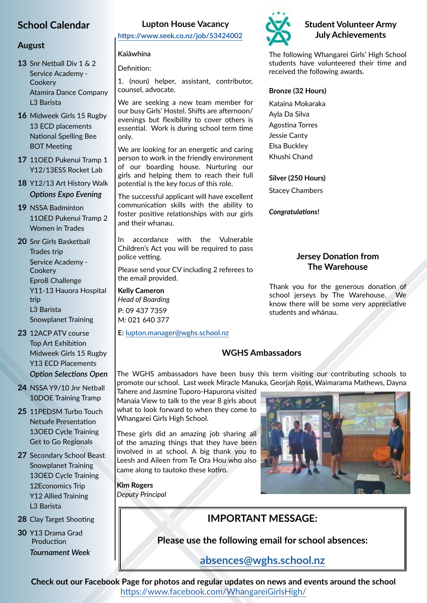## **School Calendar**

#### **August**

**13** Snr Netball Div 1 & 2 Service Academy - **Cookery** Atamira Dance Company L3 Barista

- **16** Midweek Girls 15 Rugby 13 ECD placements National Spelling Bee BOT Meeting
- **17** 11OED Pukenui Tramp 1 Y12/13ESS Rocket Lab
- **18** Y12/13 Art History Walk *Options Expo Evening*

**19** NSSA Badminton 11OED Pukenui Tramp 2 Women in Trades

- **20** Snr Girls Basketball Trades trip Service Academy - **Cookery** Epro8 Challenge Y11-13 Hauora Hospital trip L3 Barista Snowplanet Training
- **23** 12ACP ATV course Top Art Exhibition Midweek Girls 15 Rugby Y13 ECD Placements *Option Selections Open*
- **24** NSSA Y9/10 Jnr Netball 10DOE Training Tramp
- **25** 11PEDSM Turbo Touch Netsafe Presentation 13OED Cycle Training Get to Go Regionals
- **27** Secondary School Beast Snowplanet Training 13OED Cycle Training 12Economics Trip Y12 Allied Training L3 Barista
- **28** Clay Target Shooting
- **30** Y13 Drama Grad Production *Tournament Week*

#### **Lupton House Vacancy**

**https://www.seek.co.nz/job/53424002**

#### **Kaiāwhina**

Definition:

1. (noun) helper, assistant, contributor, counsel, advocate.

We are seeking a new team member for our busy Girls' Hostel. Shifts are afternoon/ evenings but flexibility to cover others is essential. Work is during school term time only.

We are looking for an energetic and caring person to work in the friendly environment of our boarding house. Nurturing our girls and helping them to reach their full potential is the key focus of this role.

The successful applicant will have excellent communication skills with the ability to foster positive relationships with our girls and their whanau.

In accordance with the Vulnerable Children's Act you will be required to pass police vetting.

Please send your CV including 2 referees to the email provided.

**Kelly Cameron** *Head of Boarding* P: 09 437 7359 M: 021 640 377

**E: lupton.manager@wghs.school.nz**

#### **Student Volunteer Army July Achievements**

The following Whangarei Girls' High School students have volunteered their time and received the following awards.

#### **Bronze (32 Hours)**

Kataina Mokaraka Ayla Da Silva Agostina Torres Jessie Canty Elsa Buckley Khushi Chand

#### **Silver (250 Hours)**

Stacey Chambers

*Congratulations!*

#### **Jersey Donation from The Warehouse**

Thank you for the generous donation of school jerseys by The Warehouse. We know there will be some very appreciative students and whānau.

#### **WGHS Ambassadors**

The WGHS ambassadors have been busy this term visiting our contributing schools to promote our school. Last week Miracle Manuka, Georjah Ross, Waimarama Mathews, Dayna

Tahere and Jasmine Tuporo-Hapurona visited Manaia View to talk to the year 8 girls about what to look forward to when they come to Whangarei Girls High School.

These girls did an amazing job sharing all of the amazing things that they have been involved in at school. A big thank you to Leesh and Aileen from Te Ora Hou who also came along to tautoko these kotiro.

**Kim Rogers**

*Deputy Principal*



## **IMPORTANT MESSAGE:**

**Please use the following email for school absences:**

#### **absences@wghs.school.nz**

**Check out our Facebook Page for photos and regular updates on news and events around the school** https://www.facebook.com/WhangareiGirlsHigh/